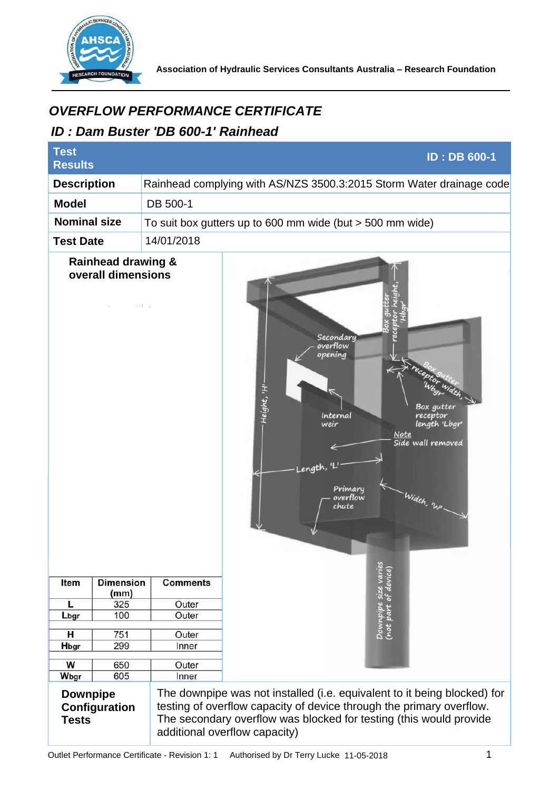

## *ID : Dam Buster 'DB 600-1' Rainhead*

| <i><b>OVERFLOW PERFORMANCE CERTIFICATE</b></i><br>ID: Dam Buster 'DB 600-1' Rainhead |                                                     |                 |                                                                                                                                                                                                                                                         |
|--------------------------------------------------------------------------------------|-----------------------------------------------------|-----------------|---------------------------------------------------------------------------------------------------------------------------------------------------------------------------------------------------------------------------------------------------------|
| <b>Test</b><br><b>Results</b>                                                        |                                                     |                 | <b>ID: DB 600-1</b>                                                                                                                                                                                                                                     |
| <b>Description</b>                                                                   |                                                     |                 | Rainhead complying with AS/NZS 3500.3:2015 Storm Water drainage code                                                                                                                                                                                    |
| <b>Model</b>                                                                         |                                                     | DB 500-1        |                                                                                                                                                                                                                                                         |
| <b>Nominal size</b>                                                                  |                                                     |                 | To suit box gutters up to 600 mm wide (but $>$ 500 mm wide)                                                                                                                                                                                             |
| 14/01/2018<br><b>Test Date</b>                                                       |                                                     |                 |                                                                                                                                                                                                                                                         |
|                                                                                      | <b>Rainhead drawing &amp;</b><br>overall dimensions |                 | Secondary<br>overflow<br>opening<br>Height, 'H<br>Box gutter<br>Internal<br>receptor<br>length 'Lbgr'<br>weir<br>Note<br>Side wall removed<br>Length,<br>Primary<br>Width, 'WI<br>overflow<br>chute<br>Downpipe size varies<br>(not part of device)     |
| Item                                                                                 | <b>Dimension</b><br>(mm)                            | <b>Comments</b> |                                                                                                                                                                                                                                                         |
| L                                                                                    | 325                                                 | Outer           |                                                                                                                                                                                                                                                         |
| Lbgr                                                                                 | 100                                                 | Outer           |                                                                                                                                                                                                                                                         |
| н                                                                                    | 751                                                 | Outer           |                                                                                                                                                                                                                                                         |
| Hbgr                                                                                 | 299                                                 | Inner           |                                                                                                                                                                                                                                                         |
| W<br>650                                                                             |                                                     | Outer           |                                                                                                                                                                                                                                                         |
| Wbgr                                                                                 | 605                                                 | Inner           |                                                                                                                                                                                                                                                         |
| <b>Downpipe</b><br>Configuration<br><b>Tests</b>                                     |                                                     |                 | The downpipe was not installed (i.e. equivalent to it being blocked) for<br>testing of overflow capacity of device through the primary overflow.<br>The secondary overflow was blocked for testing (this would provide<br>additional overflow capacity) |